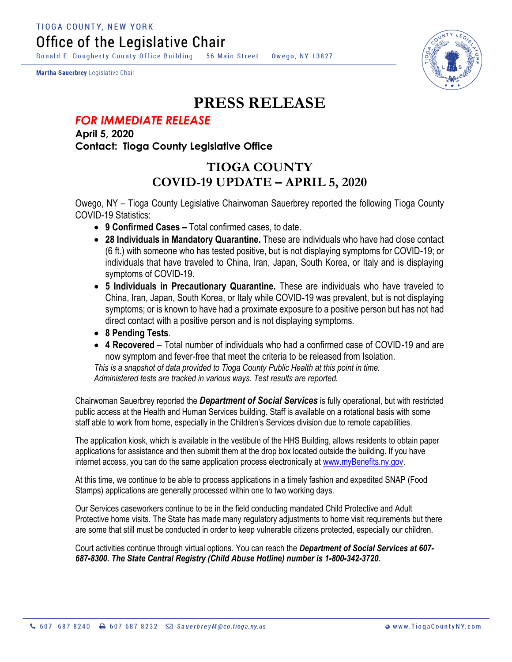**TIOGA COUNTY, NEW YORK** Office of the Legislative Chair

Ronald E. Dougherty County Office Building 56 Main Street Owego, NY 13827

Martha Sauerbrey Legislative Chair



## **PRESS RELEASE**

## *FOR IMMEDIATE RELEASE*

**April 5, 2020 Contact: Tioga County Legislative Office**

## **TIOGA COUNTY COVID-19 UPDATE – APRIL 5, 2020**

Owego, NY – Tioga County Legislative Chairwoman Sauerbrey reported the following Tioga County COVID-19 Statistics:

- **9 Confirmed Cases –** Total confirmed cases, to date.
- **28 Individuals in Mandatory Quarantine.** These are individuals who have had close contact (6 ft.) with someone who has tested positive, but is not displaying symptoms for COVID-19; or individuals that have traveled to China, Iran, Japan, South Korea, or Italy and is displaying symptoms of COVID-19.
- **5 Individuals in Precautionary Quarantine.** These are individuals who have traveled to China, Iran, Japan, South Korea, or Italy while COVID-19 was prevalent, but is not displaying symptoms; or is known to have had a proximate exposure to a positive person but has not had direct contact with a positive person and is not displaying symptoms.
- **8 Pending Tests**.
- **4 Recovered** Total number of individuals who had a confirmed case of COVID-19 and are now symptom and fever-free that meet the criteria to be released from Isolation.

*This is a snapshot of data provided to Tioga County Public Health at this point in time. Administered tests are tracked in various ways. Test results are reported.*

Chairwoman Sauerbrey reported the *Department of Social Services* is fully operational, but with restricted public access at the Health and Human Services building. Staff is available on a rotational basis with some staff able to work from home, especially in the Children's Services division due to remote capabilities.

The application kiosk, which is available in the vestibule of the HHS Building, allows residents to obtain paper applications for assistance and then submit them at the drop box located outside the building. If you have internet access, you can do the same application process electronically at [www.myBenefits.ny.gov.](http://www.mybenefits.ny.gov/)

At this time, we continue to be able to process applications in a timely fashion and expedited SNAP (Food Stamps) applications are generally processed within one to two working days.

Our Services caseworkers continue to be in the field conducting mandated Child Protective and Adult Protective home visits. The State has made many regulatory adjustments to home visit requirements but there are some that still must be conducted in order to keep vulnerable citizens protected, especially our children.

Court activities continue through virtual options. You can reach the *Department of Social Services at 607- 687-8300. The State Central Registry (Child Abuse Hotline) number is 1-800-342-3720.*